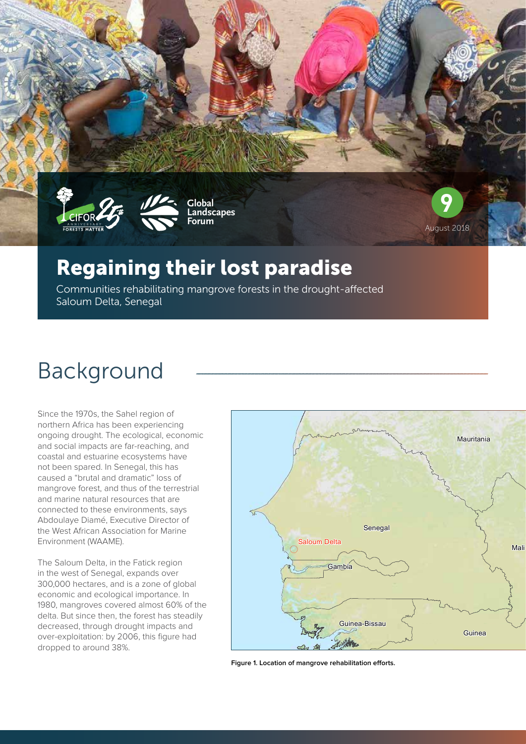



**Global Landscapes Forum**



## Regaining their lost paradise

Communities rehabilitating mangrove forests in the drought-affected Saloum Delta, Senegal

# Background

Since the 1970s, the Sahel region of northern Africa has been experiencing ongoing drought. The ecological, economic and social impacts are far-reaching, and coastal and estuarine ecosystems have not been spared. In Senegal, this has caused a "brutal and dramatic" loss of mangrove forest, and thus of the terrestrial and marine natural resources that are connected to these environments, says Abdoulaye Diamé, Executive Director of the West African Association for Marine Environment (WAAME).

The Saloum Delta, in the Fatick region in the west of Senegal, expands over 300,000 hectares, and is a zone of global economic and ecological importance. In 1980, mangroves covered almost 60% of the delta. But since then, the forest has steadily decreased, through drought impacts and over-exploitation: by 2006, this figure had dropped to around 38%.



**Figure 1. Location of mangrove rehabilitation efforts.**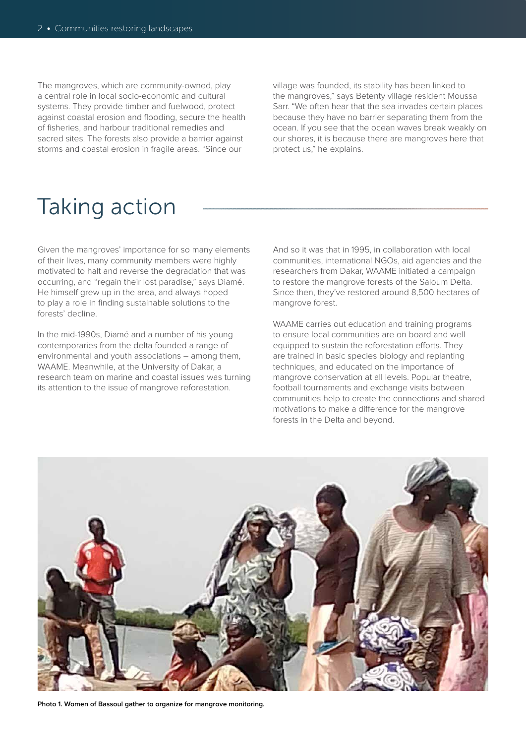The mangroves, which are community-owned, play a central role in local socio-economic and cultural systems. They provide timber and fuelwood, protect against coastal erosion and flooding, secure the health of fisheries, and harbour traditional remedies and sacred sites. The forests also provide a barrier against storms and coastal erosion in fragile areas. "Since our

village was founded, its stability has been linked to the mangroves," says Betenty village resident Moussa Sarr. "We often hear that the sea invades certain places because they have no barrier separating them from the ocean. If you see that the ocean waves break weakly on our shores, it is because there are mangroves here that protect us," he explains.

# Taking action

Given the mangroves' importance for so many elements of their lives, many community members were highly motivated to halt and reverse the degradation that was occurring, and "regain their lost paradise," says Diamé. He himself grew up in the area, and always hoped to play a role in finding sustainable solutions to the forests' decline.

In the mid-1990s, Diamé and a number of his young contemporaries from the delta founded a range of environmental and youth associations – among them, WAAME. Meanwhile, at the University of Dakar, a research team on marine and coastal issues was turning its attention to the issue of mangrove reforestation.

And so it was that in 1995, in collaboration with local communities, international NGOs, aid agencies and the researchers from Dakar, WAAME initiated a campaign to restore the mangrove forests of the Saloum Delta. Since then, they've restored around 8,500 hectares of mangrove forest.

WAAME carries out education and training programs to ensure local communities are on board and well equipped to sustain the reforestation efforts. They are trained in basic species biology and replanting techniques, and educated on the importance of mangrove conservation at all levels. Popular theatre, football tournaments and exchange visits between communities help to create the connections and shared motivations to make a difference for the mangrove forests in the Delta and beyond.



**Photo 1. Women of Bassoul gather to organize for mangrove monitoring.**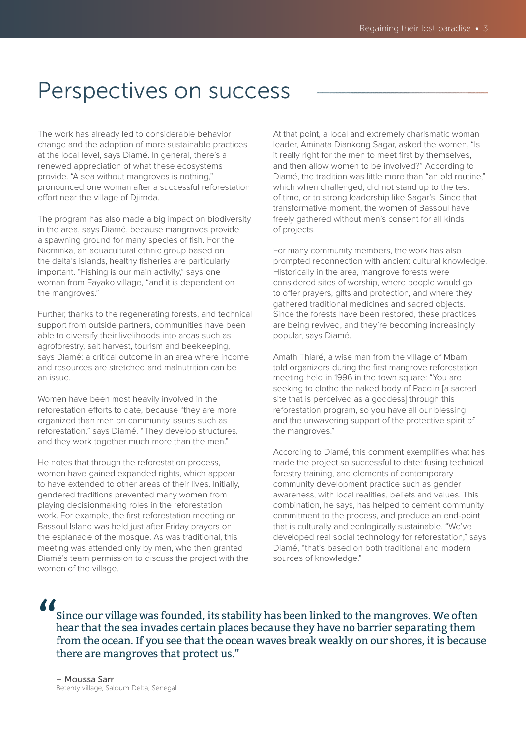## Perspectives on success

The work has already led to considerable behavior change and the adoption of more sustainable practices at the local level, says Diamé. In general, there's a renewed appreciation of what these ecosystems provide. "A sea without mangroves is nothing," pronounced one woman after a successful reforestation effort near the village of Djirnda.

The program has also made a big impact on biodiversity in the area, says Diamé, because mangroves provide a spawning ground for many species of fish. For the Niominka, an aquacultural ethnic group based on the delta's islands, healthy fisheries are particularly important. "Fishing is our main activity," says one woman from Fayako village, "and it is dependent on the mangroves."

Further, thanks to the regenerating forests, and technical support from outside partners, communities have been able to diversify their livelihoods into areas such as agroforestry, salt harvest, tourism and beekeeping, says Diamé: a critical outcome in an area where income and resources are stretched and malnutrition can be an issue.

Women have been most heavily involved in the reforestation efforts to date, because "they are more organized than men on community issues such as reforestation," says Diamé. "They develop structures, and they work together much more than the men."

He notes that through the reforestation process, women have gained expanded rights, which appear to have extended to other areas of their lives. Initially, gendered traditions prevented many women from playing decisionmaking roles in the reforestation work. For example, the first reforestation meeting on Bassoul Island was held just after Friday prayers on the esplanade of the mosque. As was traditional, this meeting was attended only by men, who then granted Diamé's team permission to discuss the project with the women of the village.

At that point, a local and extremely charismatic woman leader, Aminata Diankong Sagar, asked the women, "Is it really right for the men to meet first by themselves, and then allow women to be involved?" According to Diamé, the tradition was little more than "an old routine," which when challenged, did not stand up to the test of time, or to strong leadership like Sagar's. Since that transformative moment, the women of Bassoul have freely gathered without men's consent for all kinds of projects.

For many community members, the work has also prompted reconnection with ancient cultural knowledge. Historically in the area, mangrove forests were considered sites of worship, where people would go to offer prayers, gifts and protection, and where they gathered traditional medicines and sacred objects. Since the forests have been restored, these practices are being revived, and they're becoming increasingly popular, says Diamé.

Amath Thiaré, a wise man from the village of Mbam, told organizers during the first mangrove reforestation meeting held in 1996 in the town square: "You are seeking to clothe the naked body of Pacciin [a sacred site that is perceived as a goddess] through this reforestation program, so you have all our blessing and the unwavering support of the protective spirit of the mangroves."

According to Diamé, this comment exemplifies what has made the project so successful to date: fusing technical forestry training, and elements of contemporary community development practice such as gender awareness, with local realities, beliefs and values. This combination, he says, has helped to cement community commitment to the process, and produce an end-point that is culturally and ecologically sustainable. "We've developed real social technology for reforestation," says Diamé, "that's based on both traditional and modern sources of knowledge."

"

Since our village was founded, its stability has been linked to the mangroves. We often hear that the sea invades certain places because they have no barrier separating them from the ocean. If you see that the ocean waves break weakly on our shores, it is because there are mangroves that protect us."